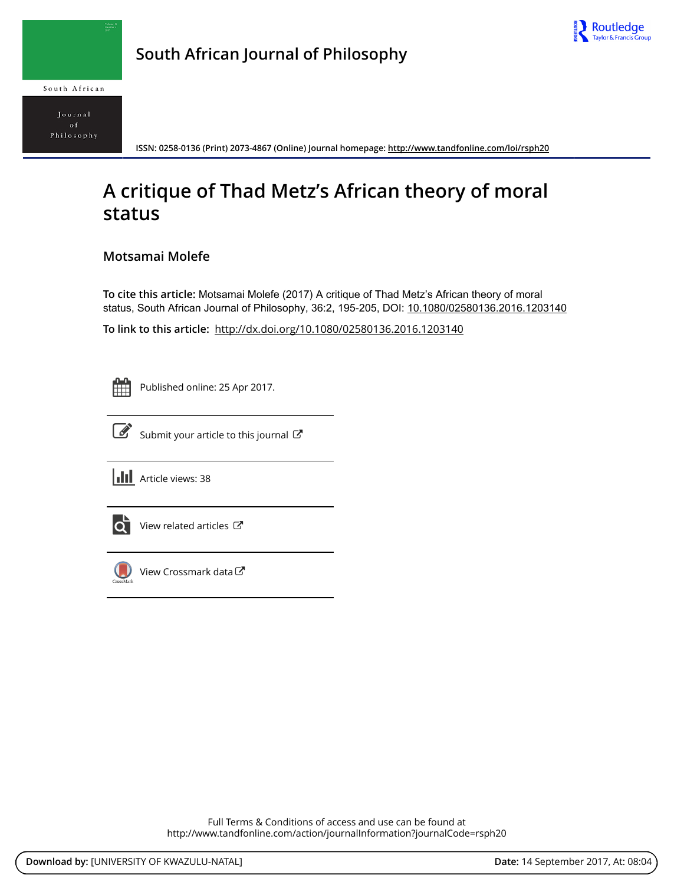

South African

 $_{\rm Journal}$  $\circ f$ Philosophy

**ISSN: 0258-0136 (Print) 2073-4867 (Online) Journal homepage:<http://www.tandfonline.com/loi/rsph20>**

# **A critique of Thad Metz's African theory of moral status**

# **Motsamai Molefe**

**To cite this article:** Motsamai Molefe (2017) A critique of Thad Metz's African theory of moral status, South African Journal of Philosophy, 36:2, 195-205, DOI: [10.1080/02580136.2016.1203140](http://www.tandfonline.com/action/showCitFormats?doi=10.1080/02580136.2016.1203140)

**To link to this article:** <http://dx.doi.org/10.1080/02580136.2016.1203140>

Published online: 25 Apr 2017.



 $\overrightarrow{S}$  [Submit your article to this journal](http://www.tandfonline.com/action/authorSubmission?journalCode=rsph20&show=instructions)  $\overrightarrow{S}$ 





[View related articles](http://www.tandfonline.com/doi/mlt/10.1080/02580136.2016.1203140) C



[View Crossmark data](http://crossmark.crossref.org/dialog/?doi=10.1080/02580136.2016.1203140&domain=pdf&date_stamp=2017-04-25)<sup>C</sup>

Full Terms & Conditions of access and use can be found at <http://www.tandfonline.com/action/journalInformation?journalCode=rsph20>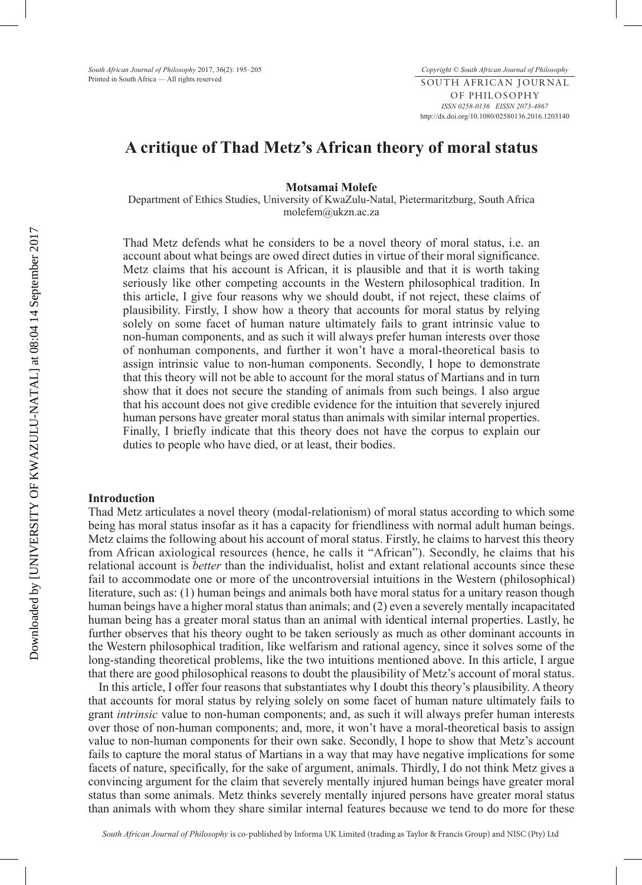# **A critique of Thad Metz's African theory of moral status**

**Motsamai Molefe**

Department of Ethics Studies, University of KwaZulu-Natal, Pietermaritzburg, South Africa molefem@ukzn.ac.za

Thad Metz defends what he considers to be a novel theory of moral status, i.e. an account about what beings are owed direct duties in virtue of their moral significance. Metz claims that his account is African, it is plausible and that it is worth taking seriously like other competing accounts in the Western philosophical tradition. In this article, I give four reasons why we should doubt, if not reject, these claims of plausibility. Firstly, I show how a theory that accounts for moral status by relying solely on some facet of human nature ultimately fails to grant intrinsic value to non-human components, and as such it will always prefer human interests over those of nonhuman components, and further it won't have a moral-theoretical basis to assign intrinsic value to non-human components. Secondly, I hope to demonstrate that this theory will not be able to account for the moral status of Martians and in turn show that it does not secure the standing of animals from such beings. I also argue that his account does not give credible evidence for the intuition that severely injured human persons have greater moral status than animals with similar internal properties. Finally, I briefly indicate that this theory does not have the corpus to explain our duties to people who have died, or at least, their bodies.

### **Introduction**

Thad Metz articulates a novel theory (modal-relationism) of moral status according to which some being has moral status insofar as it has a capacity for friendliness with normal adult human beings. Metz claims the following about his account of moral status. Firstly, he claims to harvest this theory from African axiological resources (hence, he calls it "African"). Secondly, he claims that his relational account is *better* than the individualist, holist and extant relational accounts since these fail to accommodate one or more of the uncontroversial intuitions in the Western (philosophical) literature, such as: (1) human beings and animals both have moral status for a unitary reason though human beings have a higher moral status than animals; and (2) even a severely mentally incapacitated human being has a greater moral status than an animal with identical internal properties. Lastly, he further observes that his theory ought to be taken seriously as much as other dominant accounts in the Western philosophical tradition, like welfarism and rational agency, since it solves some of the long-standing theoretical problems, like the two intuitions mentioned above. In this article, I argue that there are good philosophical reasons to doubt the plausibility of Metz's account of moral status.

In this article, I offer four reasons that substantiates why I doubt this theory's plausibility. A theory that accounts for moral status by relying solely on some facet of human nature ultimately fails to grant *intrinsic* value to non-human components; and, as such it will always prefer human interests over those of non-human components; and, more, it won't have a moral-theoretical basis to assign value to non-human components for their own sake. Secondly, I hope to show that Metz's account fails to capture the moral status of Martians in a way that may have negative implications for some facets of nature, specifically, for the sake of argument, animals. Thirdly, I do not think Metz gives a convincing argument for the claim that severely mentally injured human beings have greater moral status than some animals. Metz thinks severely mentally injured persons have greater moral status than animals with whom they share similar internal features because we tend to do more for these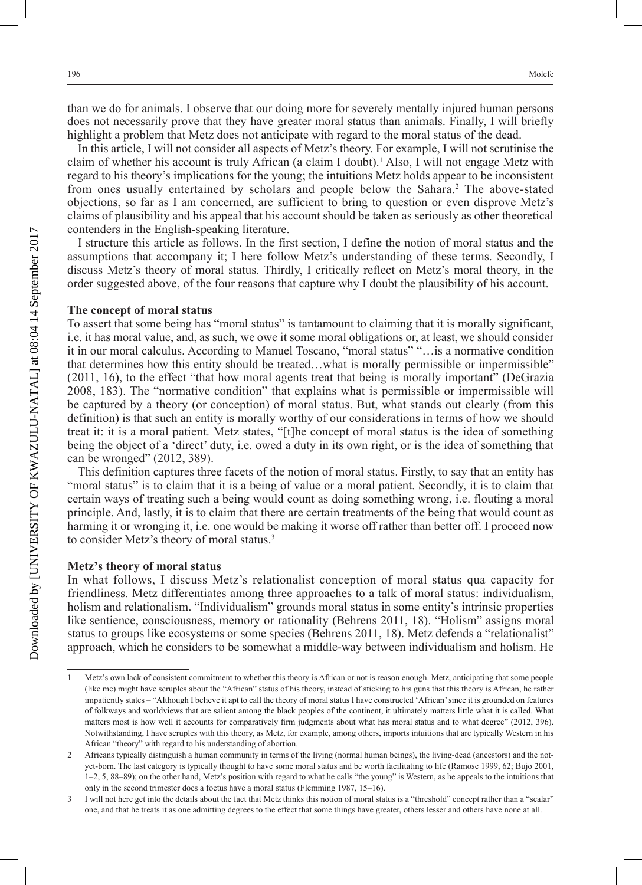than we do for animals. I observe that our doing more for severely mentally injured human persons does not necessarily prove that they have greater moral status than animals. Finally, I will briefly highlight a problem that Metz does not anticipate with regard to the moral status of the dead.

In this article, I will not consider all aspects of Metz's theory. For example, I will not scrutinise the claim of whether his account is truly African (a claim I doubt).<sup>1</sup> Also, I will not engage Metz with regard to his theory's implications for the young; the intuitions Metz holds appear to be inconsistent from ones usually entertained by scholars and people below the Sahara.2 The above-stated objections, so far as I am concerned, are sufficient to bring to question or even disprove Metz's claims of plausibility and his appeal that his account should be taken as seriously as other theoretical contenders in the English-speaking literature.

I structure this article as follows. In the first section, I define the notion of moral status and the assumptions that accompany it; I here follow Metz's understanding of these terms. Secondly, I discuss Metz's theory of moral status. Thirdly, I critically reflect on Metz's moral theory, in the order suggested above, of the four reasons that capture why I doubt the plausibility of his account.

# **The concept of moral status**

To assert that some being has "moral status" is tantamount to claiming that it is morally significant, i.e. it has moral value, and, as such, we owe it some moral obligations or, at least, we should consider it in our moral calculus. According to Manuel Toscano, "moral status" "…is a normative condition that determines how this entity should be treated...what is morally permissible or impermissible" (2011, 16), to the effect "that how moral agents treat that being is morally important" (DeGrazia 2008, 183). The "normative condition" that explains what is permissible or impermissible will be captured by a theory (or conception) of moral status. But, what stands out clearly (from this definition) is that such an entity is morally worthy of our considerations in terms of how we should treat it: it is a moral patient. Metz states, "[t]he concept of moral status is the idea of something being the object of a 'direct' duty, i.e. owed a duty in its own right, or is the idea of something that can be wronged" (2012, 389).

This definition captures three facets of the notion of moral status. Firstly, to say that an entity has "moral status" is to claim that it is a being of value or a moral patient. Secondly, it is to claim that certain ways of treating such a being would count as doing something wrong, i.e. flouting a moral principle. And, lastly, it is to claim that there are certain treatments of the being that would count as harming it or wronging it, i.e. one would be making it worse off rather than better off. I proceed now to consider Metz's theory of moral status.<sup>3</sup>

### **Metz's theory of moral status**

In what follows, I discuss Metz's relationalist conception of moral status qua capacity for friendliness. Metz differentiates among three approaches to a talk of moral status: individualism, holism and relationalism. "Individualism" grounds moral status in some entity's intrinsic properties like sentience, consciousness, memory or rationality (Behrens 2011, 18). "Holism" assigns moral status to groups like ecosystems or some species (Behrens 2011, 18). Metz defends a "relationalist" approach, which he considers to be somewhat a middle-way between individualism and holism. He

<sup>1</sup> Metz's own lack of consistent commitment to whether this theory is African or not is reason enough. Metz, anticipating that some people (like me) might have scruples about the "African" status of his theory, instead of sticking to his guns that this theory is African, he rather impatiently states – "Although I believe it apt to call the theory of moral status I have constructed 'African' since it is grounded on features of folkways and worldviews that are salient among the black peoples of the continent, it ultimately matters little what it is called. What matters most is how well it accounts for comparatively firm judgments about what has moral status and to what degree" (2012, 396). Notwithstanding, I have scruples with this theory, as Metz, for example, among others, imports intuitions that are typically Western in his African "theory" with regard to his understanding of abortion.

<sup>2</sup> Africans typically distinguish a human community in terms of the living (normal human beings), the living-dead (ancestors) and the notyet-born. The last category is typically thought to have some moral status and be worth facilitating to life (Ramose 1999, 62; Bujo 2001, 1–2, 5, 88–89); on the other hand, Metz's position with regard to what he calls "the young" is Western, as he appeals to the intuitions that only in the second trimester does a foetus have a moral status (Flemming 1987, 15–16).

<sup>3</sup> I will not here get into the details about the fact that Metz thinks this notion of moral status is a "threshold" concept rather than a "scalar" one, and that he treats it as one admitting degrees to the effect that some things have greater, others lesser and others have none at all.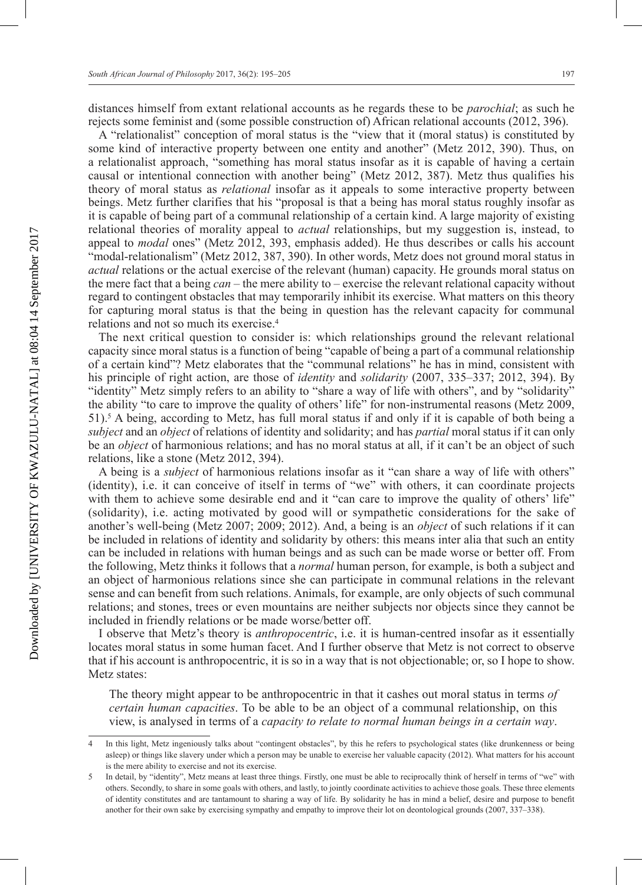distances himself from extant relational accounts as he regards these to be *parochial*; as such he rejects some feminist and (some possible construction of) African relational accounts (2012, 396).

A "relationalist" conception of moral status is the "view that it (moral status) is constituted by some kind of interactive property between one entity and another" (Metz 2012, 390). Thus, on a relationalist approach, "something has moral status insofar as it is capable of having a certain causal or intentional connection with another being" (Metz 2012, 387). Metz thus qualifies his theory of moral status as *relational* insofar as it appeals to some interactive property between beings. Metz further clarifies that his "proposal is that a being has moral status roughly insofar as it is capable of being part of a communal relationship of a certain kind. A large majority of existing relational theories of morality appeal to *actual* relationships, but my suggestion is, instead, to appeal to *modal* ones" (Metz 2012, 393, emphasis added). He thus describes or calls his account "modal-relationalism" (Metz 2012, 387, 390). In other words, Metz does not ground moral status in *actual* relations or the actual exercise of the relevant (human) capacity. He grounds moral status on the mere fact that a being *can* – the mere ability to – exercise the relevant relational capacity without regard to contingent obstacles that may temporarily inhibit its exercise. What matters on this theory for capturing moral status is that the being in question has the relevant capacity for communal relations and not so much its exercise.4

The next critical question to consider is: which relationships ground the relevant relational capacity since moral status is a function of being "capable of being a part of a communal relationship of a certain kind"? Metz elaborates that the "communal relations" he has in mind, consistent with his principle of right action, are those of *identity* and *solidarity* (2007, 335–337; 2012, 394). By "identity" Metz simply refers to an ability to "share a way of life with others", and by "solidarity" the ability "to care to improve the quality of others' life" for non-instrumental reasons (Metz 2009, 51).5 A being, according to Metz, has full moral status if and only if it is capable of both being a *subject* and an *object* of relations of identity and solidarity; and has *partial* moral status if it can only be an *object* of harmonious relations; and has no moral status at all, if it can't be an object of such relations, like a stone (Metz 2012, 394).

A being is a *subject* of harmonious relations insofar as it "can share a way of life with others" (identity), i.e. it can conceive of itself in terms of "we" with others, it can coordinate projects with them to achieve some desirable end and it "can care to improve the quality of others' life" (solidarity), i.e. acting motivated by good will or sympathetic considerations for the sake of another's well-being (Metz 2007; 2009; 2012). And, a being is an *object* of such relations if it can be included in relations of identity and solidarity by others: this means inter alia that such an entity can be included in relations with human beings and as such can be made worse or better off. From the following, Metz thinks it follows that a *normal* human person, for example, is both a subject and an object of harmonious relations since she can participate in communal relations in the relevant sense and can benefit from such relations. Animals, for example, are only objects of such communal relations; and stones, trees or even mountains are neither subjects nor objects since they cannot be included in friendly relations or be made worse/better off.

I observe that Metz's theory is *anthropocentric*, i.e. it is human-centred insofar as it essentially locates moral status in some human facet. And I further observe that Metz is not correct to observe that if his account is anthropocentric, it is so in a way that is not objectionable; or, so I hope to show. Metz states:

The theory might appear to be anthropocentric in that it cashes out moral status in terms *of certain human capacities*. To be able to be an object of a communal relationship, on this view, is analysed in terms of a *capacity to relate to normal human beings in a certain way*.

<sup>4</sup> In this light, Metz ingeniously talks about "contingent obstacles", by this he refers to psychological states (like drunkenness or being asleep) or things like slavery under which a person may be unable to exercise her valuable capacity (2012). What matters for his account is the mere ability to exercise and not its exercise.

<sup>5</sup> In detail, by "identity", Metz means at least three things. Firstly, one must be able to reciprocally think of herself in terms of "we" with others. Secondly, to share in some goals with others, and lastly, to jointly coordinate activities to achieve those goals. These three elements of identity constitutes and are tantamount to sharing a way of life. By solidarity he has in mind a belief, desire and purpose to benefit another for their own sake by exercising sympathy and empathy to improve their lot on deontological grounds (2007, 337–338).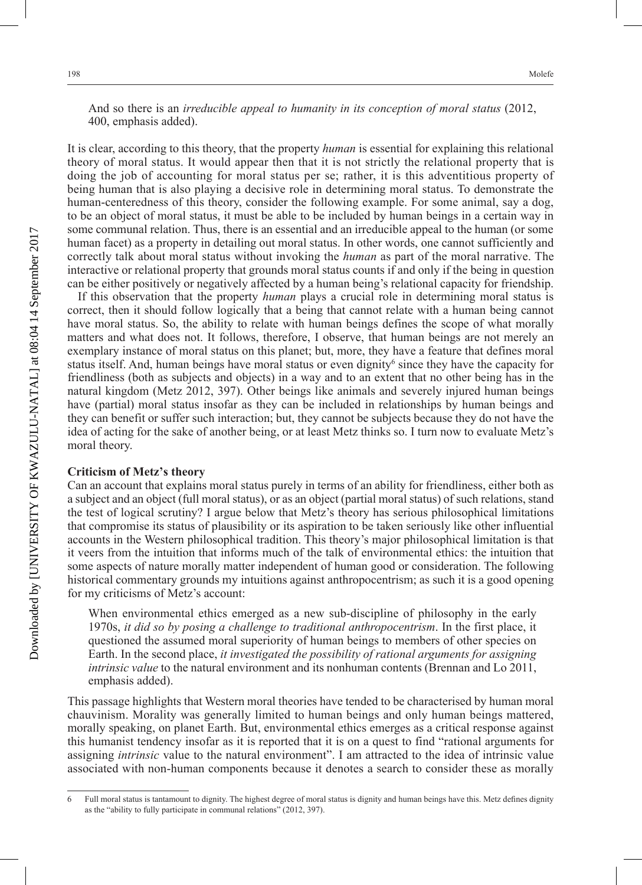And so there is an *irreducible appeal to humanity in its conception of moral status* (2012, 400, emphasis added).

It is clear, according to this theory, that the property *human* is essential for explaining this relational theory of moral status. It would appear then that it is not strictly the relational property that is doing the job of accounting for moral status per se; rather, it is this adventitious property of being human that is also playing a decisive role in determining moral status. To demonstrate the human-centeredness of this theory, consider the following example. For some animal, say a dog, to be an object of moral status, it must be able to be included by human beings in a certain way in some communal relation. Thus, there is an essential and an irreducible appeal to the human (or some human facet) as a property in detailing out moral status. In other words, one cannot sufficiently and correctly talk about moral status without invoking the *human* as part of the moral narrative. The interactive or relational property that grounds moral status counts if and only if the being in question can be either positively or negatively affected by a human being's relational capacity for friendship.

If this observation that the property *human* plays a crucial role in determining moral status is correct, then it should follow logically that a being that cannot relate with a human being cannot have moral status. So, the ability to relate with human beings defines the scope of what morally matters and what does not. It follows, therefore, I observe, that human beings are not merely an exemplary instance of moral status on this planet; but, more, they have a feature that defines moral status itself. And, human beings have moral status or even dignity<sup>6</sup> since they have the capacity for friendliness (both as subjects and objects) in a way and to an extent that no other being has in the natural kingdom (Metz 2012, 397). Other beings like animals and severely injured human beings have (partial) moral status insofar as they can be included in relationships by human beings and they can benefit or suffer such interaction; but, they cannot be subjects because they do not have the idea of acting for the sake of another being, or at least Metz thinks so. I turn now to evaluate Metz's moral theory.

# **Criticism of Metz's theory**

Can an account that explains moral status purely in terms of an ability for friendliness, either both as a subject and an object (full moral status), or as an object (partial moral status) of such relations, stand the test of logical scrutiny? I argue below that Metz's theory has serious philosophical limitations that compromise its status of plausibility or its aspiration to be taken seriously like other influential accounts in the Western philosophical tradition. This theory's major philosophical limitation is that it veers from the intuition that informs much of the talk of environmental ethics: the intuition that some aspects of nature morally matter independent of human good or consideration. The following historical commentary grounds my intuitions against anthropocentrism; as such it is a good opening for my criticisms of Metz's account:

When environmental ethics emerged as a new sub-discipline of philosophy in the early 1970s, *it did so by posing a challenge to traditional anthropocentrism*. In the first place, it questioned the assumed moral superiority of human beings to members of other species on Earth. In the second place, *it investigated the possibility of rational arguments for assigning intrinsic value* to the natural environment and its nonhuman contents (Brennan and Lo 2011, emphasis added).

This passage highlights that Western moral theories have tended to be characterised by human moral chauvinism. Morality was generally limited to human beings and only human beings mattered, morally speaking, on planet Earth. But, environmental ethics emerges as a critical response against this humanist tendency insofar as it is reported that it is on a quest to find "rational arguments for assigning *intrinsic* value to the natural environment". I am attracted to the idea of intrinsic value associated with non-human components because it denotes a search to consider these as morally

<sup>6</sup> Full moral status is tantamount to dignity. The highest degree of moral status is dignity and human beings have this. Metz defines dignity as the "ability to fully participate in communal relations" (2012, 397).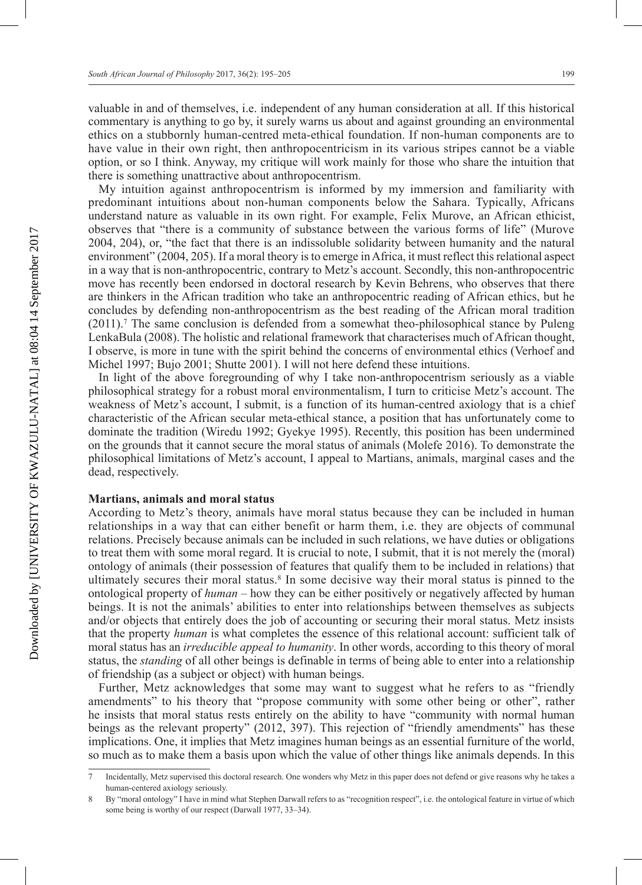valuable in and of themselves, i.e. independent of any human consideration at all. If this historical commentary is anything to go by, it surely warns us about and against grounding an environmental ethics on a stubbornly human-centred meta-ethical foundation. If non-human components are to have value in their own right, then anthropocentricism in its various stripes cannot be a viable option, or so I think. Anyway, my critique will work mainly for those who share the intuition that there is something unattractive about anthropocentrism.

My intuition against anthropocentrism is informed by my immersion and familiarity with predominant intuitions about non-human components below the Sahara. Typically, Africans understand nature as valuable in its own right. For example, Felix Murove, an African ethicist, observes that "there is a community of substance between the various forms of life" (Murove 2004, 204), or, "the fact that there is an indissoluble solidarity between humanity and the natural environment" (2004, 205). If a moral theory is to emerge in Africa, it must reflect this relational aspect in a way that is non-anthropocentric, contrary to Metz's account. Secondly, this non-anthropocentric move has recently been endorsed in doctoral research by Kevin Behrens, who observes that there are thinkers in the African tradition who take an anthropocentric reading of African ethics, but he concludes by defending non-anthropocentrism as the best reading of the African moral tradition  $(2011)$ .<sup>7</sup> The same conclusion is defended from a somewhat theo-philosophical stance by Puleng LenkaBula (2008). The holistic and relational framework that characterises much of African thought, I observe, is more in tune with the spirit behind the concerns of environmental ethics (Verhoef and Michel 1997; Bujo 2001; Shutte 2001). I will not here defend these intuitions.

In light of the above foregrounding of why I take non-anthropocentrism seriously as a viable philosophical strategy for a robust moral environmentalism, I turn to criticise Metz's account. The weakness of Metz's account, I submit, is a function of its human-centred axiology that is a chief characteristic of the African secular meta-ethical stance, a position that has unfortunately come to dominate the tradition (Wiredu 1992; Gyekye 1995). Recently, this position has been undermined on the grounds that it cannot secure the moral status of animals (Molefe 2016). To demonstrate the philosophical limitations of Metz's account, I appeal to Martians, animals, marginal cases and the dead, respectively.

#### **Martians, animals and moral status**

According to Metz's theory, animals have moral status because they can be included in human relationships in a way that can either benefit or harm them, i.e. they are objects of communal relations. Precisely because animals can be included in such relations, we have duties or obligations to treat them with some moral regard. It is crucial to note, I submit, that it is not merely the (moral) ontology of animals (their possession of features that qualify them to be included in relations) that ultimately secures their moral status.<sup>8</sup> In some decisive way their moral status is pinned to the ontological property of *human* – how they can be either positively or negatively affected by human beings. It is not the animals' abilities to enter into relationships between themselves as subjects and/or objects that entirely does the job of accounting or securing their moral status. Metz insists that the property *human* is what completes the essence of this relational account: sufficient talk of moral status has an *irreducible appeal to humanity*. In other words, according to this theory of moral status, the *standing* of all other beings is definable in terms of being able to enter into a relationship of friendship (as a subject or object) with human beings.

Further, Metz acknowledges that some may want to suggest what he refers to as "friendly amendments" to his theory that "propose community with some other being or other", rather he insists that moral status rests entirely on the ability to have "community with normal human beings as the relevant property" (2012, 397). This rejection of "friendly amendments" has these implications. One, it implies that Metz imagines human beings as an essential furniture of the world, so much as to make them a basis upon which the value of other things like animals depends. In this

<sup>7</sup> Incidentally, Metz supervised this doctoral research. One wonders why Metz in this paper does not defend or give reasons why he takes a human-centered axiology seriously.

<sup>8</sup> By "moral ontology" I have in mind what Stephen Darwall refers to as "recognition respect", i.e. the ontological feature in virtue of which some being is worthy of our respect (Darwall 1977, 33–34).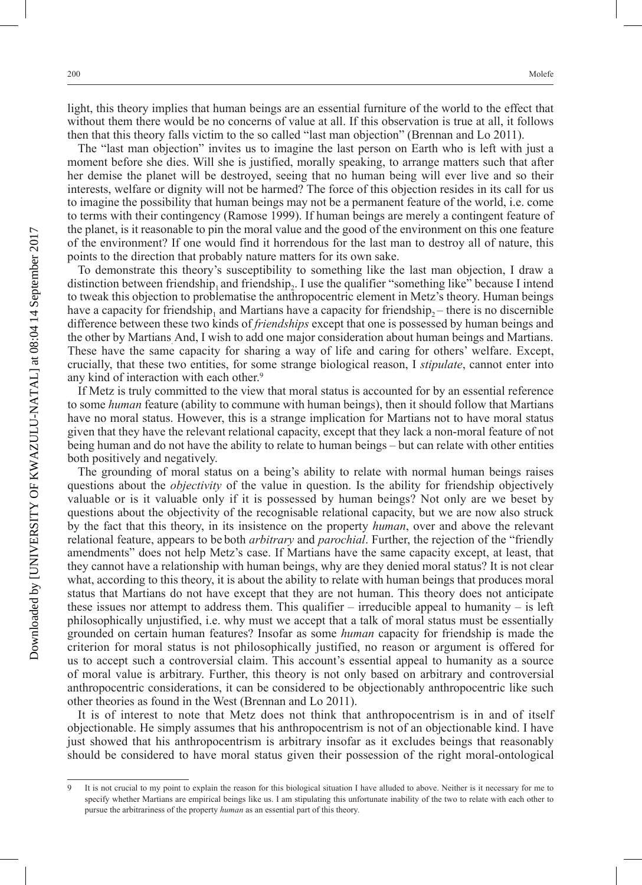light, this theory implies that human beings are an essential furniture of the world to the effect that without them there would be no concerns of value at all. If this observation is true at all, it follows then that this theory falls victim to the so called "last man objection" (Brennan and Lo 2011).

The "last man objection" invites us to imagine the last person on Earth who is left with just a moment before she dies. Will she is justified, morally speaking, to arrange matters such that after her demise the planet will be destroyed, seeing that no human being will ever live and so their interests, welfare or dignity will not be harmed? The force of this objection resides in its call for us to imagine the possibility that human beings may not be a permanent feature of the world, i.e. come to terms with their contingency (Ramose 1999). If human beings are merely a contingent feature of the planet, is it reasonable to pin the moral value and the good of the environment on this one feature of the environment? If one would find it horrendous for the last man to destroy all of nature, this points to the direction that probably nature matters for its own sake.

To demonstrate this theory's susceptibility to something like the last man objection, I draw a distinction between friendship, and friendship. I use the qualifier "something like" because I intend to tweak this objection to problematise the anthropocentric element in Metz's theory. Human beings have a capacity for friendship<sub>1</sub> and Martians have a capacity for friendship<sub>2</sub> – there is no discernible difference between these two kinds of *friendships* except that one is possessed by human beings and the other by Martians And, I wish to add one major consideration about human beings and Martians. These have the same capacity for sharing a way of life and caring for others' welfare. Except, crucially, that these two entities, for some strange biological reason, I *stipulate*, cannot enter into any kind of interaction with each other.<sup>9</sup>

If Metz is truly committed to the view that moral status is accounted for by an essential reference to some *human* feature (ability to commune with human beings), then it should follow that Martians have no moral status. However, this is a strange implication for Martians not to have moral status given that they have the relevant relational capacity, except that they lack a non-moral feature of not being human and do not have the ability to relate to human beings – but can relate with other entities both positively and negatively.

The grounding of moral status on a being's ability to relate with normal human beings raises questions about the *objectivity* of the value in question. Is the ability for friendship objectively valuable or is it valuable only if it is possessed by human beings? Not only are we beset by questions about the objectivity of the recognisable relational capacity, but we are now also struck by the fact that this theory, in its insistence on the property *human*, over and above the relevant relational feature, appears to be both *arbitrary* and *parochial*. Further, the rejection of the "friendly amendments" does not help Metz's case. If Martians have the same capacity except, at least, that they cannot have a relationship with human beings, why are they denied moral status? It is not clear what, according to this theory, it is about the ability to relate with human beings that produces moral status that Martians do not have except that they are not human. This theory does not anticipate these issues nor attempt to address them. This qualifier – irreducible appeal to humanity – is left philosophically unjustified, i.e. why must we accept that a talk of moral status must be essentially grounded on certain human features? Insofar as some *human* capacity for friendship is made the criterion for moral status is not philosophically justified, no reason or argument is offered for us to accept such a controversial claim. This account's essential appeal to humanity as a source of moral value is arbitrary. Further, this theory is not only based on arbitrary and controversial anthropocentric considerations, it can be considered to be objectionably anthropocentric like such other theories as found in the West (Brennan and Lo 2011).

It is of interest to note that Metz does not think that anthropocentrism is in and of itself objectionable. He simply assumes that his anthropocentrism is not of an objectionable kind. I have just showed that his anthropocentrism is arbitrary insofar as it excludes beings that reasonably should be considered to have moral status given their possession of the right moral-ontological

<sup>9</sup> It is not crucial to my point to explain the reason for this biological situation I have alluded to above. Neither is it necessary for me to specify whether Martians are empirical beings like us. I am stipulating this unfortunate inability of the two to relate with each other to pursue the arbitrariness of the property *human* as an essential part of this theory*.*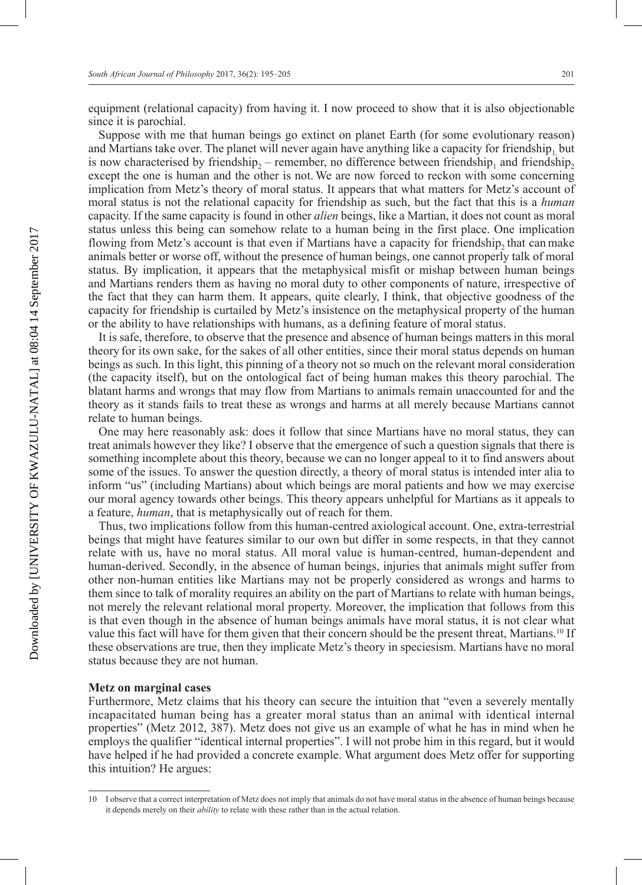equipment (relational capacity) from having it. I now proceed to show that it is also objectionable since it is parochial.

Suppose with me that human beings go extinct on planet Earth (for some evolutionary reason) and Martians take over. The planet will never again have anything like a capacity for friendship<sub>1</sub> but is now characterised by friendship, – remember, no difference between friendship<sub>1</sub> and friendship, except the one is human and the other is not. We are now forced to reckon with some concerning implication from Metz's theory of moral status. It appears that what matters for Metz's account of moral status is not the relational capacity for friendship as such, but the fact that this is a *human* capacity. If the same capacity is found in other *alien* beings, like a Martian, it does not count as moral status unless this being can somehow relate to a human being in the first place. One implication flowing from Metz's account is that even if Martians have a capacity for friendship, that can make animals better or worse off, without the presence of human beings, one cannot properly talk of moral status. By implication, it appears that the metaphysical misfit or mishap between human beings and Martians renders them as having no moral duty to other components of nature, irrespective of the fact that they can harm them. It appears, quite clearly, I think, that objective goodness of the capacity for friendship is curtailed by Metz's insistence on the metaphysical property of the human or the ability to have relationships with humans, as a defining feature of moral status.

It is safe, therefore, to observe that the presence and absence of human beings matters in this moral theory for its own sake, for the sakes of all other entities, since their moral status depends on human beings as such. In this light, this pinning of a theory not so much on the relevant moral consideration (the capacity itself), but on the ontological fact of being human makes this theory parochial. The blatant harms and wrongs that may flow from Martians to animals remain unaccounted for and the theory as it stands fails to treat these as wrongs and harms at all merely because Martians cannot relate to human beings.

One may here reasonably ask: does it follow that since Martians have no moral status, they can treat animals however they like? I observe that the emergence of such a question signals that there is something incomplete about this theory, because we can no longer appeal to it to find answers about some of the issues. To answer the question directly, a theory of moral status is intended inter alia to inform "us" (including Martians) about which beings are moral patients and how we may exercise our moral agency towards other beings. This theory appears unhelpful for Martians as it appeals to a feature, *human*, that is metaphysically out of reach for them.

Thus, two implications follow from this human-centred axiological account. One, extra-terrestrial beings that might have features similar to our own but differ in some respects, in that they cannot relate with us, have no moral status. All moral value is human-centred, human-dependent and human-derived. Secondly, in the absence of human beings, injuries that animals might suffer from other non-human entities like Martians may not be properly considered as wrongs and harms to them since to talk of morality requires an ability on the part of Martians to relate with human beings, not merely the relevant relational moral property. Moreover, the implication that follows from this is that even though in the absence of human beings animals have moral status, it is not clear what value this fact will have for them given that their concern should be the present threat, Martians.<sup>10</sup> If these observations are true, then they implicate Metz's theory in speciesism. Martians have no moral status because they are not human.

#### **Metz on marginal cases**

Furthermore, Metz claims that his theory can secure the intuition that "even a severely mentally incapacitated human being has a greater moral status than an animal with identical internal properties" (Metz 2012, 387). Metz does not give us an example of what he has in mind when he employs the qualifier "identical internal properties". I will not probe him in this regard, but it would have helped if he had provided a concrete example. What argument does Metz offer for supporting this intuition? He argues:

<sup>10</sup> I observe that a correct interpretation of Metz does not imply that animals do not have moral status in the absence of human beings because it depends merely on their *ability* to relate with these rather than in the actual relation.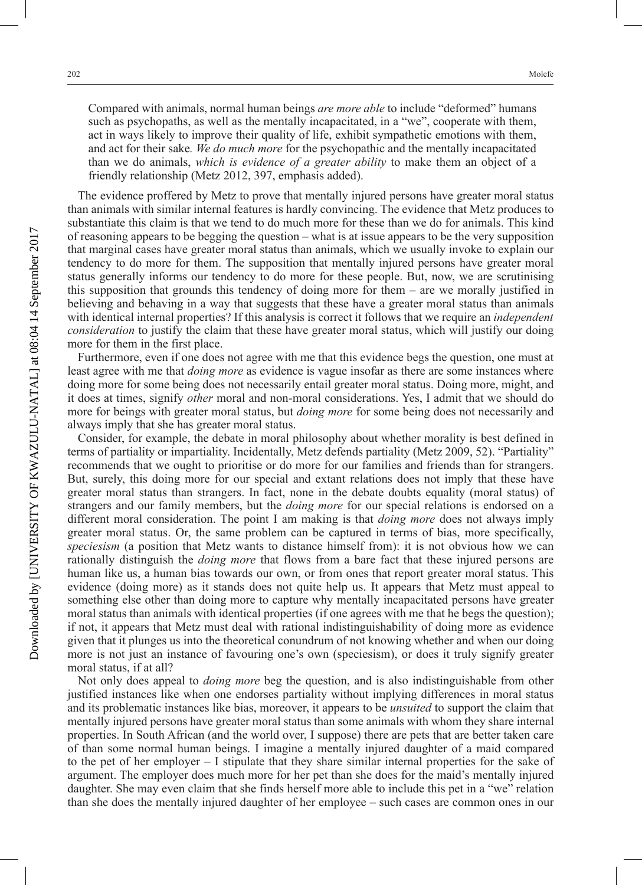Compared with animals, normal human beings *are more able* to include "deformed" humans such as psychopaths, as well as the mentally incapacitated, in a "we", cooperate with them, act in ways likely to improve their quality of life, exhibit sympathetic emotions with them, and act for their sake*. We do much more* for the psychopathic and the mentally incapacitated than we do animals, *which is evidence of a greater ability* to make them an object of a friendly relationship (Metz 2012, 397, emphasis added).

The evidence proffered by Metz to prove that mentally injured persons have greater moral status than animals with similar internal features is hardly convincing. The evidence that Metz produces to substantiate this claim is that we tend to do much more for these than we do for animals. This kind of reasoning appears to be begging the question – what is at issue appears to be the very supposition that marginal cases have greater moral status than animals, which we usually invoke to explain our tendency to do more for them. The supposition that mentally injured persons have greater moral status generally informs our tendency to do more for these people. But, now, we are scrutinising this supposition that grounds this tendency of doing more for them – are we morally justified in believing and behaving in a way that suggests that these have a greater moral status than animals with identical internal properties? If this analysis is correct it follows that we require an *independent consideration* to justify the claim that these have greater moral status, which will justify our doing more for them in the first place.

Furthermore, even if one does not agree with me that this evidence begs the question, one must at least agree with me that *doing more* as evidence is vague insofar as there are some instances where doing more for some being does not necessarily entail greater moral status. Doing more, might, and it does at times, signify *other* moral and non-moral considerations. Yes, I admit that we should do more for beings with greater moral status, but *doing more* for some being does not necessarily and always imply that she has greater moral status.

Consider, for example, the debate in moral philosophy about whether morality is best defined in terms of partiality or impartiality. Incidentally, Metz defends partiality (Metz 2009, 52). "Partiality" recommends that we ought to prioritise or do more for our families and friends than for strangers. But, surely, this doing more for our special and extant relations does not imply that these have greater moral status than strangers. In fact, none in the debate doubts equality (moral status) of strangers and our family members, but the *doing more* for our special relations is endorsed on a different moral consideration. The point I am making is that *doing more* does not always imply greater moral status. Or, the same problem can be captured in terms of bias, more specifically, *speciesism* (a position that Metz wants to distance himself from): it is not obvious how we can rationally distinguish the *doing more* that flows from a bare fact that these injured persons are human like us, a human bias towards our own, or from ones that report greater moral status. This evidence (doing more) as it stands does not quite help us. It appears that Metz must appeal to something else other than doing more to capture why mentally incapacitated persons have greater moral status than animals with identical properties (if one agrees with me that he begs the question); if not, it appears that Metz must deal with rational indistinguishability of doing more as evidence given that it plunges us into the theoretical conundrum of not knowing whether and when our doing more is not just an instance of favouring one's own (speciesism), or does it truly signify greater moral status, if at all?

Not only does appeal to *doing more* beg the question, and is also indistinguishable from other justified instances like when one endorses partiality without implying differences in moral status and its problematic instances like bias, moreover, it appears to be *unsuited* to support the claim that mentally injured persons have greater moral status than some animals with whom they share internal properties. In South African (and the world over, I suppose) there are pets that are better taken care of than some normal human beings. I imagine a mentally injured daughter of a maid compared to the pet of her employer – I stipulate that they share similar internal properties for the sake of argument. The employer does much more for her pet than she does for the maid's mentally injured daughter. She may even claim that she finds herself more able to include this pet in a "we" relation than she does the mentally injured daughter of her employee – such cases are common ones in our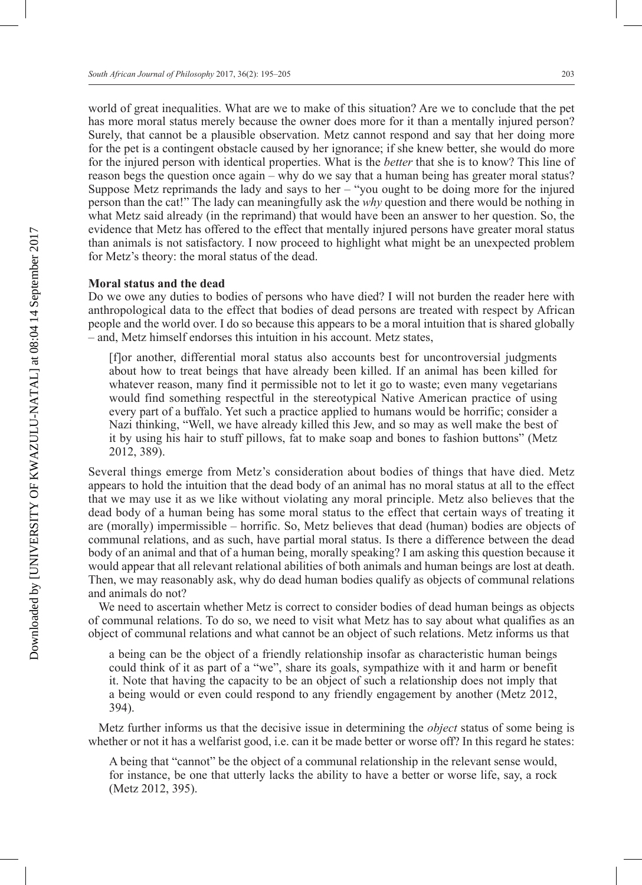world of great inequalities. What are we to make of this situation? Are we to conclude that the pet has more moral status merely because the owner does more for it than a mentally injured person? Surely, that cannot be a plausible observation. Metz cannot respond and say that her doing more for the pet is a contingent obstacle caused by her ignorance; if she knew better, she would do more for the injured person with identical properties. What is the *better* that she is to know? This line of reason begs the question once again – why do we say that a human being has greater moral status? Suppose Metz reprimands the lady and says to her – "you ought to be doing more for the injured person than the cat!" The lady can meaningfully ask the *why* question and there would be nothing in what Metz said already (in the reprimand) that would have been an answer to her question. So, the evidence that Metz has offered to the effect that mentally injured persons have greater moral status than animals is not satisfactory. I now proceed to highlight what might be an unexpected problem for Metz's theory: the moral status of the dead.

#### **Moral status and the dead**

Do we owe any duties to bodies of persons who have died? I will not burden the reader here with anthropological data to the effect that bodies of dead persons are treated with respect by African people and the world over. I do so because this appears to be a moral intuition that is shared globally – and, Metz himself endorses this intuition in his account. Metz states,

[f]or another, differential moral status also accounts best for uncontroversial judgments about how to treat beings that have already been killed. If an animal has been killed for whatever reason, many find it permissible not to let it go to waste; even many vegetarians would find something respectful in the stereotypical Native American practice of using every part of a buffalo. Yet such a practice applied to humans would be horrific; consider a Nazi thinking, "Well, we have already killed this Jew, and so may as well make the best of it by using his hair to stuff pillows, fat to make soap and bones to fashion buttons" (Metz 2012, 389).

Several things emerge from Metz's consideration about bodies of things that have died. Metz appears to hold the intuition that the dead body of an animal has no moral status at all to the effect that we may use it as we like without violating any moral principle. Metz also believes that the dead body of a human being has some moral status to the effect that certain ways of treating it are (morally) impermissible – horrific. So, Metz believes that dead (human) bodies are objects of communal relations, and as such, have partial moral status. Is there a difference between the dead body of an animal and that of a human being, morally speaking? I am asking this question because it would appear that all relevant relational abilities of both animals and human beings are lost at death. Then, we may reasonably ask, why do dead human bodies qualify as objects of communal relations and animals do not?

We need to ascertain whether Metz is correct to consider bodies of dead human beings as objects of communal relations. To do so, we need to visit what Metz has to say about what qualifies as an object of communal relations and what cannot be an object of such relations. Metz informs us that

a being can be the object of a friendly relationship insofar as characteristic human beings could think of it as part of a "we", share its goals, sympathize with it and harm or benefit it. Note that having the capacity to be an object of such a relationship does not imply that a being would or even could respond to any friendly engagement by another (Metz 2012, 394).

Metz further informs us that the decisive issue in determining the *object* status of some being is whether or not it has a welfarist good, i.e. can it be made better or worse off? In this regard he states:

A being that "cannot" be the object of a communal relationship in the relevant sense would, for instance, be one that utterly lacks the ability to have a better or worse life, say, a rock (Metz 2012, 395).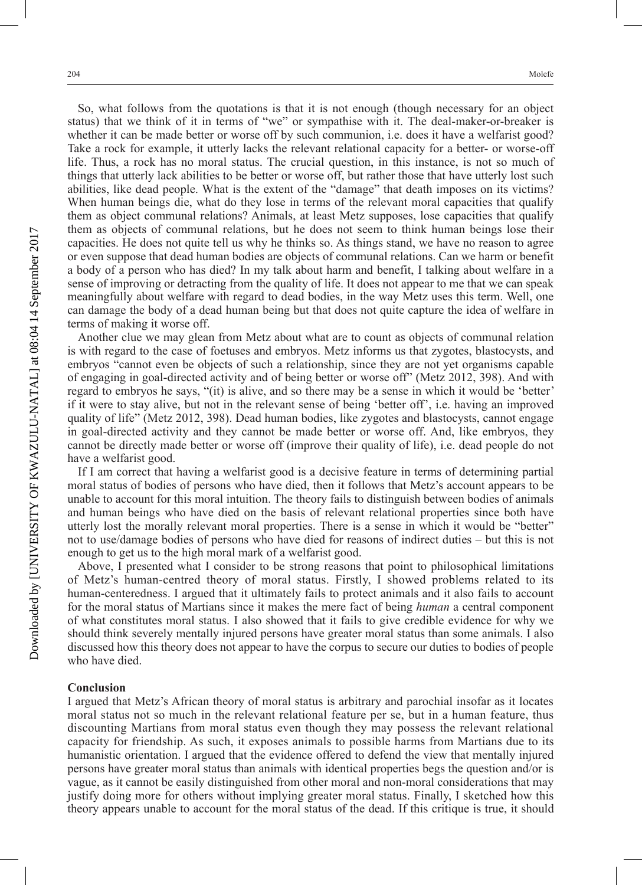So, what follows from the quotations is that it is not enough (though necessary for an object status) that we think of it in terms of "we" or sympathise with it. The deal-maker-or-breaker is whether it can be made better or worse off by such communion, i.e. does it have a welfarist good? Take a rock for example, it utterly lacks the relevant relational capacity for a better- or worse-off life. Thus, a rock has no moral status. The crucial question, in this instance, is not so much of things that utterly lack abilities to be better or worse off, but rather those that have utterly lost such abilities, like dead people. What is the extent of the "damage" that death imposes on its victims? When human beings die, what do they lose in terms of the relevant moral capacities that qualify them as object communal relations? Animals, at least Metz supposes, lose capacities that qualify them as objects of communal relations, but he does not seem to think human beings lose their capacities. He does not quite tell us why he thinks so. As things stand, we have no reason to agree or even suppose that dead human bodies are objects of communal relations. Can we harm or benefit a body of a person who has died? In my talk about harm and benefit, I talking about welfare in a sense of improving or detracting from the quality of life. It does not appear to me that we can speak meaningfully about welfare with regard to dead bodies, in the way Metz uses this term. Well, one can damage the body of a dead human being but that does not quite capture the idea of welfare in terms of making it worse off.

Another clue we may glean from Metz about what are to count as objects of communal relation is with regard to the case of foetuses and embryos. Metz informs us that zygotes, blastocysts, and embryos "cannot even be objects of such a relationship, since they are not yet organisms capable of engaging in goal-directed activity and of being better or worse off" (Metz 2012, 398). And with regard to embryos he says, "(it) is alive, and so there may be a sense in which it would be 'better' if it were to stay alive, but not in the relevant sense of being 'better off', i.e. having an improved quality of life" (Metz 2012, 398). Dead human bodies, like zygotes and blastocysts, cannot engage in goal-directed activity and they cannot be made better or worse off. And, like embryos, they cannot be directly made better or worse off (improve their quality of life), i.e. dead people do not have a welfarist good.

If I am correct that having a welfarist good is a decisive feature in terms of determining partial moral status of bodies of persons who have died, then it follows that Metz's account appears to be unable to account for this moral intuition. The theory fails to distinguish between bodies of animals and human beings who have died on the basis of relevant relational properties since both have utterly lost the morally relevant moral properties. There is a sense in which it would be "better" not to use/damage bodies of persons who have died for reasons of indirect duties – but this is not enough to get us to the high moral mark of a welfarist good.

Above, I presented what I consider to be strong reasons that point to philosophical limitations of Metz's human-centred theory of moral status. Firstly, I showed problems related to its human-centeredness. I argued that it ultimately fails to protect animals and it also fails to account for the moral status of Martians since it makes the mere fact of being *human* a central component of what constitutes moral status. I also showed that it fails to give credible evidence for why we should think severely mentally injured persons have greater moral status than some animals. I also discussed how this theory does not appear to have the corpus to secure our duties to bodies of people who have died.

#### **Conclusion**

I argued that Metz's African theory of moral status is arbitrary and parochial insofar as it locates moral status not so much in the relevant relational feature per se, but in a human feature, thus discounting Martians from moral status even though they may possess the relevant relational capacity for friendship. As such, it exposes animals to possible harms from Martians due to its humanistic orientation. I argued that the evidence offered to defend the view that mentally injured persons have greater moral status than animals with identical properties begs the question and/or is vague, as it cannot be easily distinguished from other moral and non-moral considerations that may justify doing more for others without implying greater moral status. Finally, I sketched how this theory appears unable to account for the moral status of the dead. If this critique is true, it should